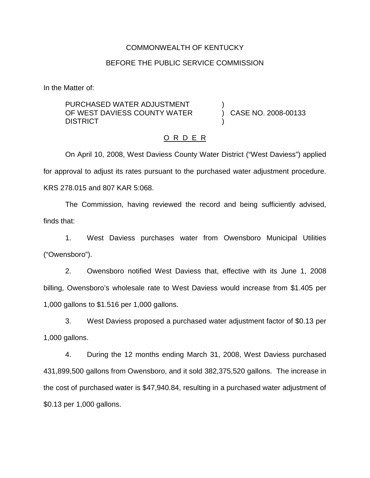### COMMONWEALTH OF KENTUCKY

### BEFORE THE PUBLIC SERVICE COMMISSION

In the Matter of:

PURCHASED WATER ADJUSTMENT OF WEST DAVIESS COUNTY WATER **DISTRICT** 

) CASE NO. 2008-00133

#### O R D E R

)

)

On April 10, 2008, West Daviess County Water District ("West Daviess") applied for approval to adjust its rates pursuant to the purchased water adjustment procedure. KRS 278.015 and 807 KAR 5:068.

The Commission, having reviewed the record and being sufficiently advised, finds that:

1. West Daviess purchases water from Owensboro Municipal Utilities ("Owensboro").

2. Owensboro notified West Daviess that, effective with its June 1, 2008 billing, Owensboro's wholesale rate to West Daviess would increase from \$1.405 per 1,000 gallons to \$1.516 per 1,000 gallons.

3. West Daviess proposed a purchased water adjustment factor of \$0.13 per 1,000 gallons.

4. During the 12 months ending March 31, 2008, West Daviess purchased 431,899,500 gallons from Owensboro, and it sold 382,375,520 gallons. The increase in the cost of purchased water is \$47,940.84, resulting in a purchased water adjustment of \$0.13 per 1,000 gallons.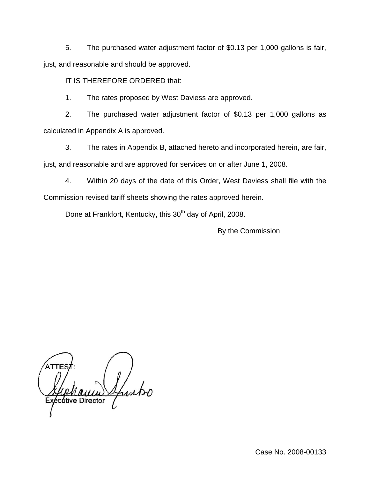5. The purchased water adjustment factor of \$0.13 per 1,000 gallons is fair, just, and reasonable and should be approved.

IT IS THEREFORE ORDERED that:

1. The rates proposed by West Daviess are approved.

2. The purchased water adjustment factor of \$0.13 per 1,000 gallons as calculated in Appendix A is approved.

3. The rates in Appendix B, attached hereto and incorporated herein, are fair, just, and reasonable and are approved for services on or after June 1, 2008.

4. Within 20 days of the date of this Order, West Daviess shall file with the Commission revised tariff sheets showing the rates approved herein.

Done at Frankfort, Kentucky, this 30<sup>th</sup> day of April, 2008.

By the Commission

**Itive Director**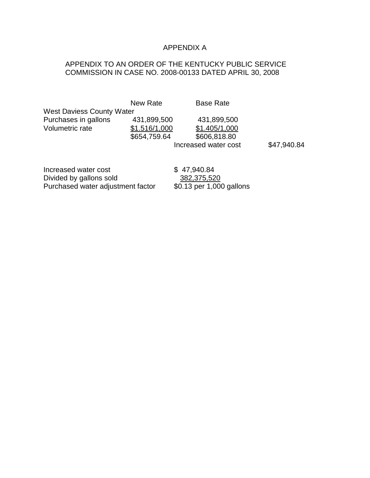# APPENDIX A

# APPENDIX TO AN ORDER OF THE KENTUCKY PUBLIC SERVICE COMMISSION IN CASE NO. 2008-00133 DATED APRIL 30, 2008

New Rate Base Rate West Daviess County Water Purchases in gallons 431,899,500 431,899,500 Volumetric rate \$1.516/1,000 \$1.405/1,000 \$654,759.64 \$606,818.80 Increased water cost \$47,940.84

Increased water cost  $$ 47,940.84$ Divided by gallons sold<br>
Purchased water adjustment factor  $\frac{382,375,520}{0.13}$  per 1,000 gallons Purchased water adjustment factor